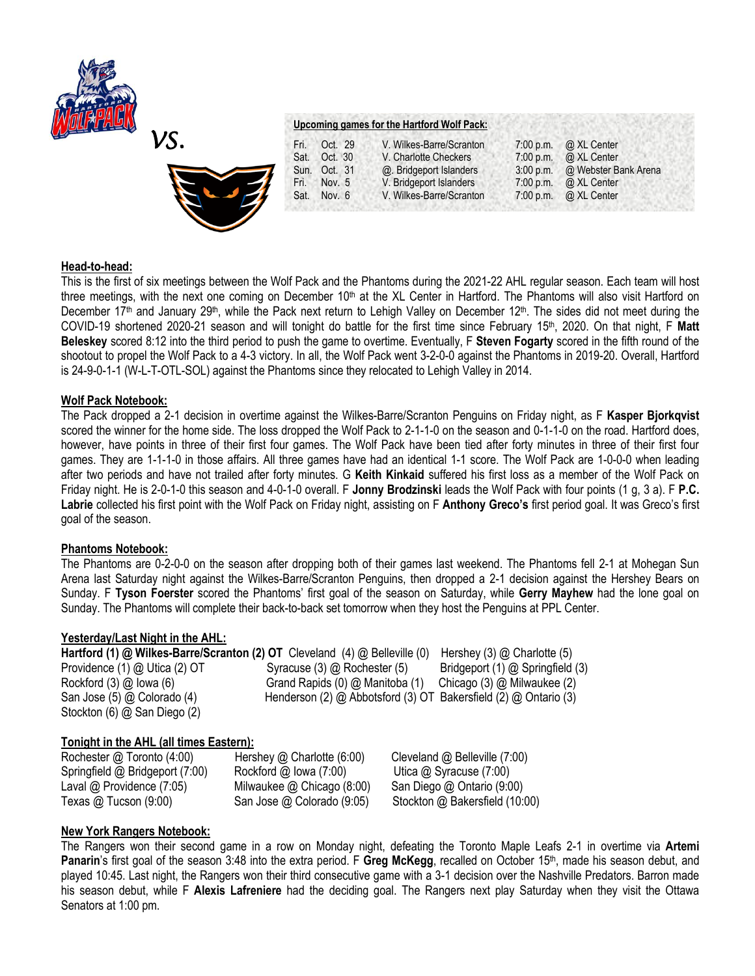



## **Upcoming games for the Hartford Wolf Pack:**

| Fri. | Oct. 29      | V. Wilkes-Barre/Scranton | 7:00 p.m. | @ XL Center                    |
|------|--------------|--------------------------|-----------|--------------------------------|
|      |              |                          |           |                                |
| Sat. | Oct. 30      | V. Charlotte Checkers    | 7:00 p.m. | @ XL Center                    |
|      | Sun. Oct. 31 | @. Bridgeport Islanders  |           | 3:00 p.m. @ Webster Bank Arena |
| Fri. | Nov. 5       | V. Bridgeport Islanders  | 7:00 p.m. | @ XL Center                    |
| Sat. | Nov. $6$     | V. Wilkes-Barre/Scranton |           | 7:00 p.m. @ XL Center          |

#### **Head-to-head:**

This is the first of six meetings between the Wolf Pack and the Phantoms during the 2021-22 AHL regular season. Each team will host three meetings, with the next one coming on December 10<sup>th</sup> at the XL Center in Hartford. The Phantoms will also visit Hartford on December 17<sup>th</sup> and January 29<sup>th</sup>, while the Pack next return to Lehigh Valley on December 12<sup>th</sup>. The sides did not meet during the COVID-19 shortened 2020-21 season and will tonight do battle for the first time since February 15th, 2020. On that night, F **Matt Beleskey** scored 8:12 into the third period to push the game to overtime. Eventually, F **Steven Fogarty** scored in the fifth round of the shootout to propel the Wolf Pack to a 4-3 victory. In all, the Wolf Pack went 3-2-0-0 against the Phantoms in 2019-20. Overall, Hartford is 24-9-0-1-1 (W-L-T-OTL-SOL) against the Phantoms since they relocated to Lehigh Valley in 2014.

#### **Wolf Pack Notebook:**

The Pack dropped a 2-1 decision in overtime against the Wilkes-Barre/Scranton Penguins on Friday night, as F **Kasper Bjorkqvist**  scored the winner for the home side. The loss dropped the Wolf Pack to 2-1-1-0 on the season and 0-1-1-0 on the road. Hartford does, however, have points in three of their first four games. The Wolf Pack have been tied after forty minutes in three of their first four games. They are 1-1-1-0 in those affairs. All three games have had an identical 1-1 score. The Wolf Pack are 1-0-0-0 when leading after two periods and have not trailed after forty minutes. G **Keith Kinkaid** suffered his first loss as a member of the Wolf Pack on Friday night. He is 2-0-1-0 this season and 4-0-1-0 overall. F **Jonny Brodzinski** leads the Wolf Pack with four points (1 g, 3 a). F **P.C. Labrie** collected his first point with the Wolf Pack on Friday night, assisting on F **Anthony Greco's** first period goal. It was Greco's first goal of the season.

## **Phantoms Notebook:**

The Phantoms are 0-2-0-0 on the season after dropping both of their games last weekend. The Phantoms fell 2-1 at Mohegan Sun Arena last Saturday night against the Wilkes-Barre/Scranton Penguins, then dropped a 2-1 decision against the Hershey Bears on Sunday. F **Tyson Foerster** scored the Phantoms' first goal of the season on Saturday, while **Gerry Mayhew** had the lone goal on Sunday. The Phantoms will complete their back-to-back set tomorrow when they host the Penguins at PPL Center.

## **Yesterday/Last Night in the AHL:**

| Hartford (1) @ Wilkes-Barre/Scranton (2) OT Cleveland (4) @ Belleville (0) |                                                                               | Hershey $(3)$ $@$ Charlotte $(5)$ |
|----------------------------------------------------------------------------|-------------------------------------------------------------------------------|-----------------------------------|
| Providence (1) @ Utica (2) OT                                              | Syracuse $(3)$ $@$ Rochester $(5)$                                            | Bridgeport (1) @ Springfield (3)  |
| Rockford $(3)$ $@$ lowa $(6)$                                              | Grand Rapids (0) @ Manitoba (1)                                               | Chicago $(3)$ @ Milwaukee $(2)$   |
| San Jose (5) @ Colorado (4)                                                | Henderson (2) $\omega$ Abbotsford (3) OT Bakersfield (2) $\omega$ Ontario (3) |                                   |
| Stockton (6) @ San Diego (2)                                               |                                                                               |                                   |

## **Tonight in the AHL (all times Eastern):**

| Rochester @ Toronto (4:00)      | Hershey $@$ Charlotte (6:00)      | Cleveland $@$ Belleville $(7:00)$ |
|---------------------------------|-----------------------------------|-----------------------------------|
| Springfield @ Bridgeport (7:00) | Rocktord $\omega$ lowa (7:00)     | Utica $@$ Syracuse $(7:00)$       |
| Laval $@$ Providence (7:05)     | Milwaukee $\omega$ Chicago (8:00) | San Diego @ Ontario (9:00)        |
| Texas @ Tucson $(9:00)$         | San Jose @ Colorado (9:05)        | Stockton @ Bakersfield (10:00)    |

## **New York Rangers Notebook:**

The Rangers won their second game in a row on Monday night, defeating the Toronto Maple Leafs 2-1 in overtime via **Artemi**  Panarin's first goal of the season 3:48 into the extra period. F Greg McKegg, recalled on October 15<sup>th</sup>, made his season debut, and played 10:45. Last night, the Rangers won their third consecutive game with a 3-1 decision over the Nashville Predators. Barron made his season debut, while F **Alexis Lafreniere** had the deciding goal. The Rangers next play Saturday when they visit the Ottawa Senators at 1:00 pm.